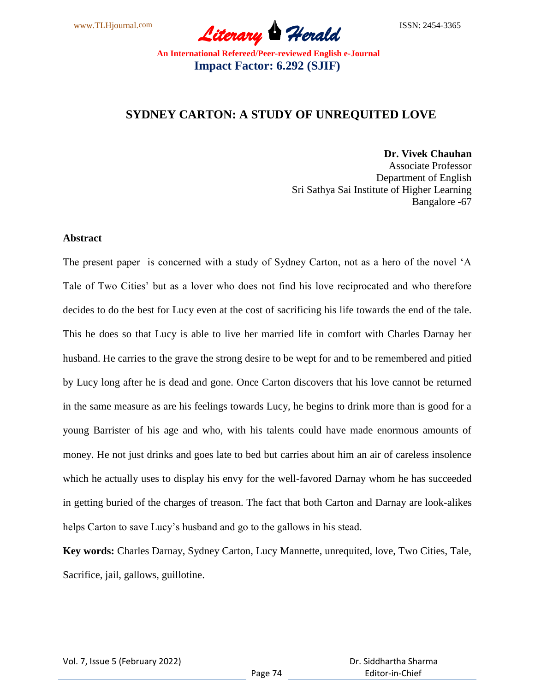

## **SYDNEY CARTON: A STUDY OF UNREQUITED LOVE**

**Dr. Vivek Chauhan**

Associate Professor Department of English Sri Sathya Sai Institute of Higher Learning Bangalore -67

#### **Abstract**

The present paper is concerned with a study of Sydney Carton, not as a hero of the novel "A Tale of Two Cities' but as a lover who does not find his love reciprocated and who therefore decides to do the best for Lucy even at the cost of sacrificing his life towards the end of the tale. This he does so that Lucy is able to live her married life in comfort with Charles Darnay her husband. He carries to the grave the strong desire to be wept for and to be remembered and pitied by Lucy long after he is dead and gone. Once Carton discovers that his love cannot be returned in the same measure as are his feelings towards Lucy, he begins to drink more than is good for a young Barrister of his age and who, with his talents could have made enormous amounts of money. He not just drinks and goes late to bed but carries about him an air of careless insolence which he actually uses to display his envy for the well-favored Darnay whom he has succeeded in getting buried of the charges of treason. The fact that both Carton and Darnay are look-alikes helps Carton to save Lucy"s husband and go to the gallows in his stead.

**Key words:** Charles Darnay, Sydney Carton, Lucy Mannette, unrequited, love, Two Cities, Tale, Sacrifice, jail, gallows, guillotine.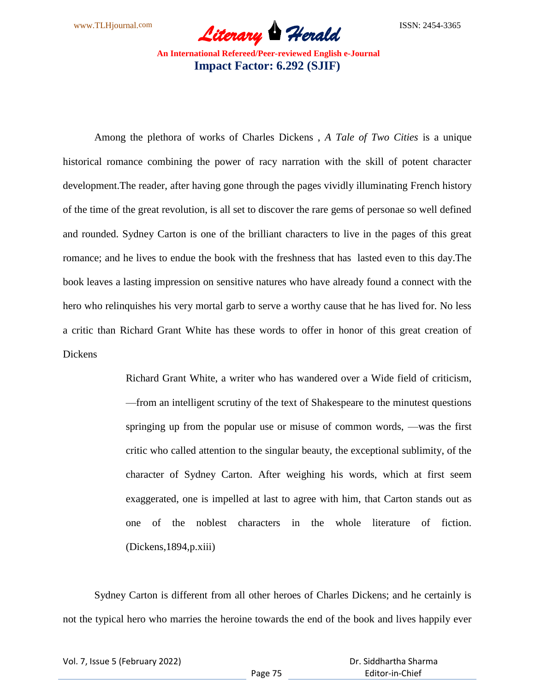

Among the plethora of works of Charles Dickens , *A Tale of Two Cities* is a unique historical romance combining the power of racy narration with the skill of potent character development.The reader, after having gone through the pages vividly illuminating French history of the time of the great revolution, is all set to discover the rare gems of personae so well defined and rounded. Sydney Carton is one of the brilliant characters to live in the pages of this great romance; and he lives to endue the book with the freshness that has lasted even to this day.The book leaves a lasting impression on sensitive natures who have already found a connect with the hero who relinquishes his very mortal garb to serve a worthy cause that he has lived for. No less a critic than Richard Grant White has these words to offer in honor of this great creation of Dickens

> Richard Grant White, a writer who has wandered over a Wide field of criticism, —from an intelligent scrutiny of the text of Shakespeare to the minutest questions springing up from the popular use or misuse of common words, —was the first critic who called attention to the singular beauty, the exceptional sublimity, of the character of Sydney Carton. After weighing his words, which at first seem exaggerated, one is impelled at last to agree with him, that Carton stands out as one of the noblest characters in the whole literature of fiction. (Dickens,1894,p.xiii)

Sydney Carton is different from all other heroes of Charles Dickens; and he certainly is not the typical hero who marries the heroine towards the end of the book and lives happily ever

Vol. 7, Issue 5 (February 2022)

Page 75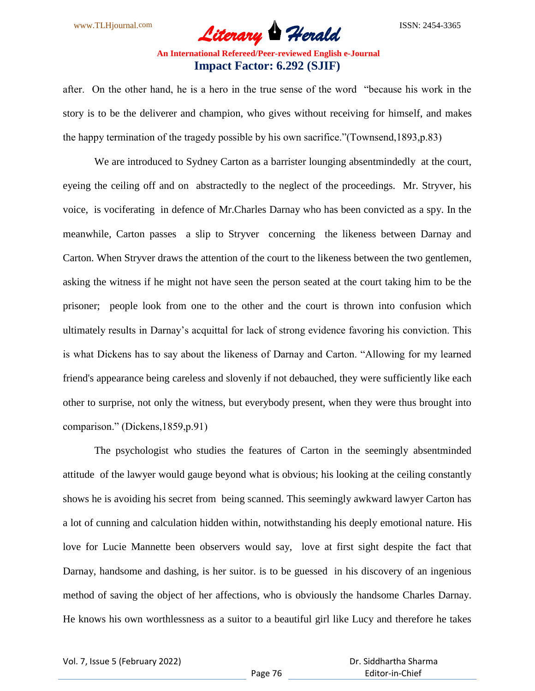after. On the other hand, he is a hero in the true sense of the word "because his work in the story is to be the deliverer and champion, who gives without receiving for himself, and makes the happy termination of the tragedy possible by his own sacrifice."(Townsend,1893,p.83)

We are introduced to Sydney Carton as a barrister lounging absentmindedly at the court, eyeing the ceiling off and on abstractedly to the neglect of the proceedings. Mr. Stryver, his voice, is vociferating in defence of Mr.Charles Darnay who has been convicted as a spy. In the meanwhile, Carton passes a slip to Stryver concerning the likeness between Darnay and Carton. When Stryver draws the attention of the court to the likeness between the two gentlemen, asking the witness if he might not have seen the person seated at the court taking him to be the prisoner; people look from one to the other and the court is thrown into confusion which ultimately results in Darnay"s acquittal for lack of strong evidence favoring his conviction. This is what Dickens has to say about the likeness of Darnay and Carton. "Allowing for my learned friend's appearance being careless and slovenly if not debauched, they were sufficiently like each other to surprise, not only the witness, but everybody present, when they were thus brought into comparison." (Dickens,1859,p.91)

The psychologist who studies the features of Carton in the seemingly absentminded attitude of the lawyer would gauge beyond what is obvious; his looking at the ceiling constantly shows he is avoiding his secret from being scanned. This seemingly awkward lawyer Carton has a lot of cunning and calculation hidden within, notwithstanding his deeply emotional nature. His love for Lucie Mannette been observers would say, love at first sight despite the fact that Darnay, handsome and dashing, is her suitor. is to be guessed in his discovery of an ingenious method of saving the object of her affections, who is obviously the handsome Charles Darnay. He knows his own worthlessness as a suitor to a beautiful girl like Lucy and therefore he takes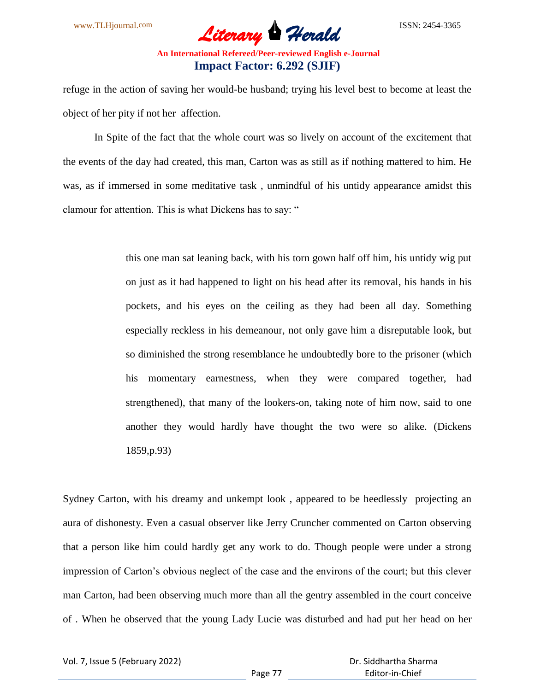

refuge in the action of saving her would-be husband; trying his level best to become at least the object of her pity if not her affection.

In Spite of the fact that the whole court was so lively on account of the excitement that the events of the day had created, this man, Carton was as still as if nothing mattered to him. He was, as if immersed in some meditative task , unmindful of his untidy appearance amidst this clamour for attention. This is what Dickens has to say: "

> this one man sat leaning back, with his torn gown half off him, his untidy wig put on just as it had happened to light on his head after its removal, his hands in his pockets, and his eyes on the ceiling as they had been all day. Something especially reckless in his demeanour, not only gave him a disreputable look, but so diminished the strong resemblance he undoubtedly bore to the prisoner (which his momentary earnestness, when they were compared together, had strengthened), that many of the lookers-on, taking note of him now, said to one another they would hardly have thought the two were so alike. (Dickens 1859,p.93)

Sydney Carton, with his dreamy and unkempt look , appeared to be heedlessly projecting an aura of dishonesty. Even a casual observer like Jerry Cruncher commented on Carton observing that a person like him could hardly get any work to do. Though people were under a strong impression of Carton"s obvious neglect of the case and the environs of the court; but this clever man Carton, had been observing much more than all the gentry assembled in the court conceive of . When he observed that the young Lady Lucie was disturbed and had put her head on her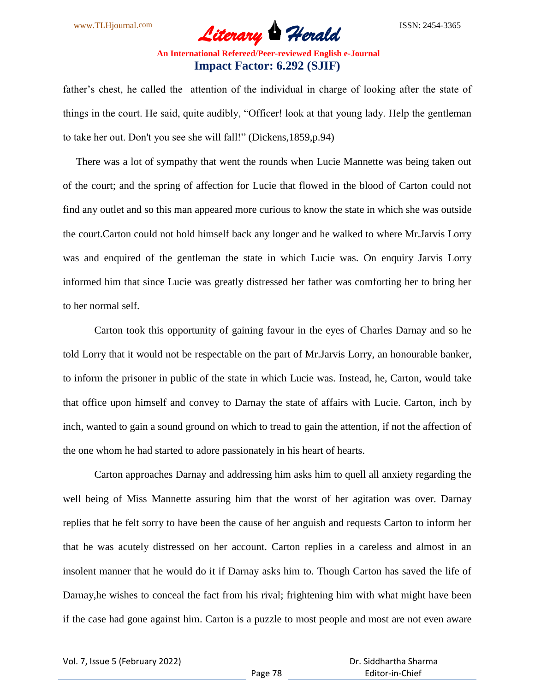father's chest, he called the attention of the individual in charge of looking after the state of things in the court. He said, quite audibly, "Officer! look at that young lady. Help the gentleman to take her out. Don't you see she will fall!" (Dickens,1859,p.94)

 There was a lot of sympathy that went the rounds when Lucie Mannette was being taken out of the court; and the spring of affection for Lucie that flowed in the blood of Carton could not find any outlet and so this man appeared more curious to know the state in which she was outside the court.Carton could not hold himself back any longer and he walked to where Mr.Jarvis Lorry was and enquired of the gentleman the state in which Lucie was. On enquiry Jarvis Lorry informed him that since Lucie was greatly distressed her father was comforting her to bring her to her normal self.

Carton took this opportunity of gaining favour in the eyes of Charles Darnay and so he told Lorry that it would not be respectable on the part of Mr.Jarvis Lorry, an honourable banker, to inform the prisoner in public of the state in which Lucie was. Instead, he, Carton, would take that office upon himself and convey to Darnay the state of affairs with Lucie. Carton, inch by inch, wanted to gain a sound ground on which to tread to gain the attention, if not the affection of the one whom he had started to adore passionately in his heart of hearts.

Carton approaches Darnay and addressing him asks him to quell all anxiety regarding the well being of Miss Mannette assuring him that the worst of her agitation was over. Darnay replies that he felt sorry to have been the cause of her anguish and requests Carton to inform her that he was acutely distressed on her account. Carton replies in a careless and almost in an insolent manner that he would do it if Darnay asks him to. Though Carton has saved the life of Darnay,he wishes to conceal the fact from his rival; frightening him with what might have been if the case had gone against him. Carton is a puzzle to most people and most are not even aware

Vol. 7, Issue 5 (February 2022)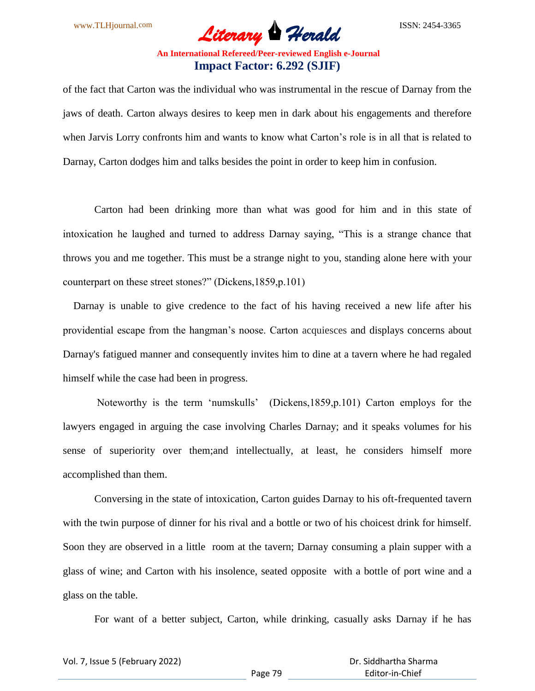

of the fact that Carton was the individual who was instrumental in the rescue of Darnay from the jaws of death. Carton always desires to keep men in dark about his engagements and therefore when Jarvis Lorry confronts him and wants to know what Carton's role is in all that is related to Darnay, Carton dodges him and talks besides the point in order to keep him in confusion.

Carton had been drinking more than what was good for him and in this state of intoxication he laughed and turned to address Darnay saying, "This is a strange chance that throws you and me together. This must be a strange night to you, standing alone here with your counterpart on these street stones?" (Dickens,1859,p.101)

 Darnay is unable to give credence to the fact of his having received a new life after his providential escape from the hangman"s noose. Carton acquiesces and displays concerns about Darnay's fatigued manner and consequently invites him to dine at a tavern where he had regaled himself while the case had been in progress.

Noteworthy is the term "numskulls" (Dickens,1859,p.101) Carton employs for the lawyers engaged in arguing the case involving Charles Darnay; and it speaks volumes for his sense of superiority over them;and intellectually, at least, he considers himself more accomplished than them.

Conversing in the state of intoxication, Carton guides Darnay to his oft-frequented tavern with the twin purpose of dinner for his rival and a bottle or two of his choicest drink for himself. Soon they are observed in a little room at the tavern; Darnay consuming a plain supper with a glass of wine; and Carton with his insolence, seated opposite with a bottle of port wine and a glass on the table.

For want of a better subject, Carton, while drinking, casually asks Darnay if he has

Vol. 7, Issue 5 (February 2022)

Page 79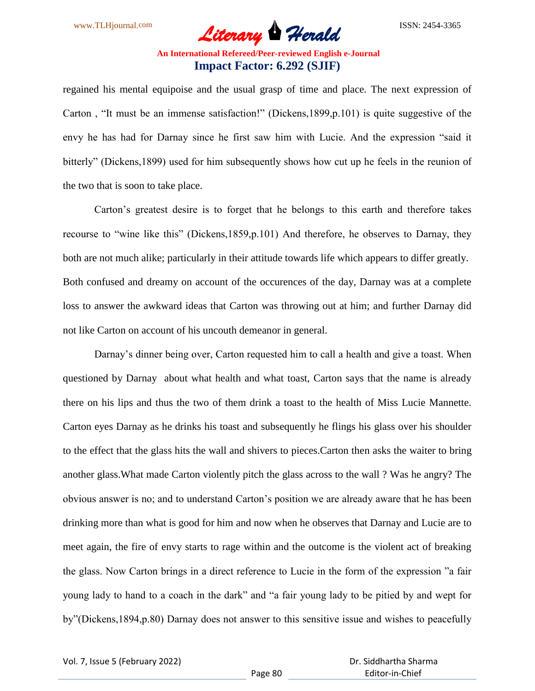

regained his mental equipoise and the usual grasp of time and place. The next expression of Carton , "It must be an immense satisfaction!" (Dickens,1899,p.101) is quite suggestive of the envy he has had for Darnay since he first saw him with Lucie. And the expression "said it bitterly" (Dickens,1899) used for him subsequently shows how cut up he feels in the reunion of the two that is soon to take place.

Carton"s greatest desire is to forget that he belongs to this earth and therefore takes recourse to "wine like this" (Dickens,1859,p.101) And therefore, he observes to Darnay, they both are not much alike; particularly in their attitude towards life which appears to differ greatly. Both confused and dreamy on account of the occurences of the day, Darnay was at a complete loss to answer the awkward ideas that Carton was throwing out at him; and further Darnay did not like Carton on account of his uncouth demeanor in general.

Darnay's dinner being over, Carton requested him to call a health and give a toast. When questioned by Darnay about what health and what toast, Carton says that the name is already there on his lips and thus the two of them drink a toast to the health of Miss Lucie Mannette. Carton eyes Darnay as he drinks his toast and subsequently he flings his glass over his shoulder to the effect that the glass hits the wall and shivers to pieces.Carton then asks the waiter to bring another glass.What made Carton violently pitch the glass across to the wall ? Was he angry? The obvious answer is no; and to understand Carton"s position we are already aware that he has been drinking more than what is good for him and now when he observes that Darnay and Lucie are to meet again, the fire of envy starts to rage within and the outcome is the violent act of breaking the glass. Now Carton brings in a direct reference to Lucie in the form of the expression "a fair young lady to hand to a coach in the dark" and "a fair young lady to be pitied by and wept for by"(Dickens,1894,p.80) Darnay does not answer to this sensitive issue and wishes to peacefully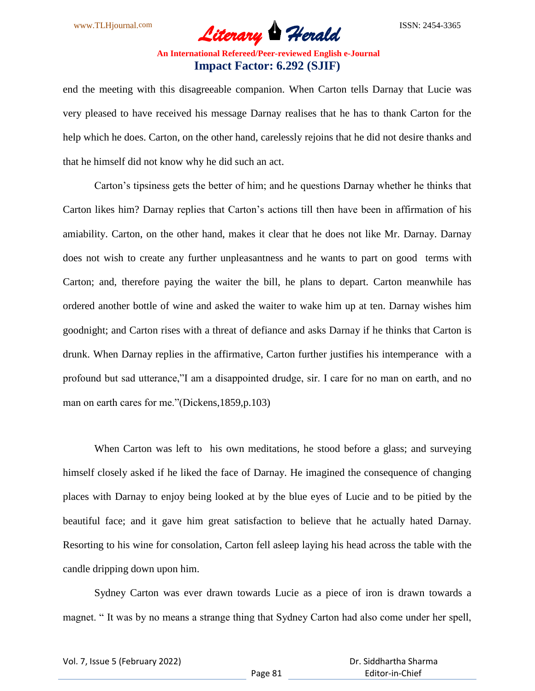

end the meeting with this disagreeable companion. When Carton tells Darnay that Lucie was very pleased to have received his message Darnay realises that he has to thank Carton for the help which he does. Carton, on the other hand, carelessly rejoins that he did not desire thanks and that he himself did not know why he did such an act.

Carton"s tipsiness gets the better of him; and he questions Darnay whether he thinks that Carton likes him? Darnay replies that Carton"s actions till then have been in affirmation of his amiability. Carton, on the other hand, makes it clear that he does not like Mr. Darnay. Darnay does not wish to create any further unpleasantness and he wants to part on good terms with Carton; and, therefore paying the waiter the bill, he plans to depart. Carton meanwhile has ordered another bottle of wine and asked the waiter to wake him up at ten. Darnay wishes him goodnight; and Carton rises with a threat of defiance and asks Darnay if he thinks that Carton is drunk. When Darnay replies in the affirmative, Carton further justifies his intemperance with a profound but sad utterance,"I am a disappointed drudge, sir. I care for no man on earth, and no man on earth cares for me."(Dickens,1859,p.103)

When Carton was left to his own meditations, he stood before a glass; and surveying himself closely asked if he liked the face of Darnay. He imagined the consequence of changing places with Darnay to enjoy being looked at by the blue eyes of Lucie and to be pitied by the beautiful face; and it gave him great satisfaction to believe that he actually hated Darnay. Resorting to his wine for consolation, Carton fell asleep laying his head across the table with the candle dripping down upon him.

Sydney Carton was ever drawn towards Lucie as a piece of iron is drawn towards a magnet. " It was by no means a strange thing that Sydney Carton had also come under her spell,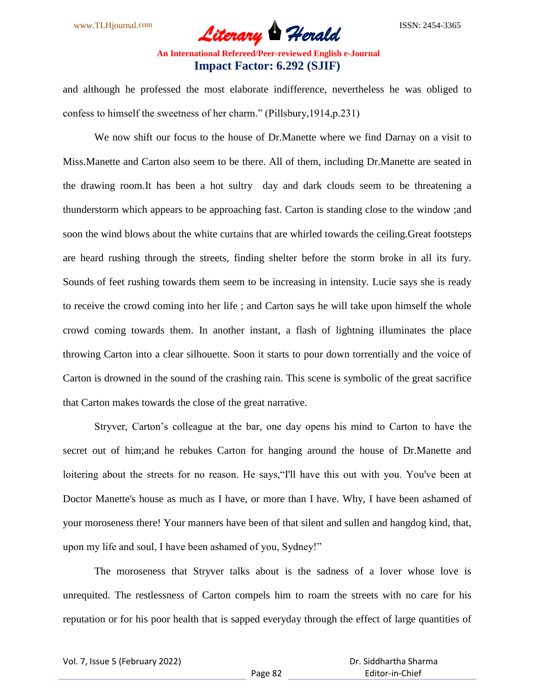and although he professed the most elaborate indifference, nevertheless he was obliged to confess to himself the sweetness of her charm." (Pillsbury,1914,p.231)

We now shift our focus to the house of Dr.Manette where we find Darnay on a visit to Miss.Manette and Carton also seem to be there. All of them, including Dr.Manette are seated in the drawing room.It has been a hot sultry day and dark clouds seem to be threatening a thunderstorm which appears to be approaching fast. Carton is standing close to the window ;and soon the wind blows about the white curtains that are whirled towards the ceiling.Great footsteps are heard rushing through the streets, finding shelter before the storm broke in all its fury. Sounds of feet rushing towards them seem to be increasing in intensity. Lucie says she is ready to receive the crowd coming into her life ; and Carton says he will take upon himself the whole crowd coming towards them. In another instant, a flash of lightning illuminates the place throwing Carton into a clear silhouette. Soon it starts to pour down torrentially and the voice of Carton is drowned in the sound of the crashing rain. This scene is symbolic of the great sacrifice that Carton makes towards the close of the great narrative.

Stryver, Carton"s colleague at the bar, one day opens his mind to Carton to have the secret out of him;and he rebukes Carton for hanging around the house of Dr.Manette and loitering about the streets for no reason. He says, "I'll have this out with you. You've been at Doctor Manette's house as much as I have, or more than I have. Why, I have been ashamed of your moroseness there! Your manners have been of that silent and sullen and hangdog kind, that, upon my life and soul, I have been ashamed of you, Sydney!"

The moroseness that Stryver talks about is the sadness of a lover whose love is unrequited. The restlessness of Carton compels him to roam the streets with no care for his reputation or for his poor health that is sapped everyday through the effect of large quantities of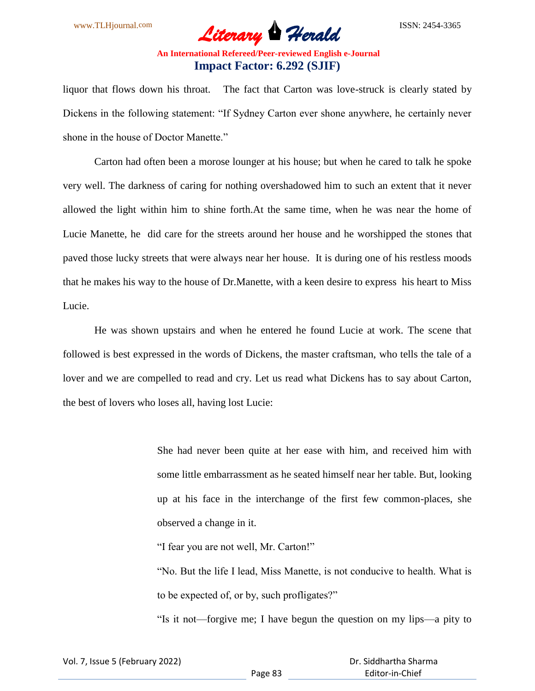

liquor that flows down his throat. The fact that Carton was love-struck is clearly stated by Dickens in the following statement: "If Sydney Carton ever shone anywhere, he certainly never shone in the house of Doctor Manette."

Carton had often been a morose lounger at his house; but when he cared to talk he spoke very well. The darkness of caring for nothing overshadowed him to such an extent that it never allowed the light within him to shine forth.At the same time, when he was near the home of Lucie Manette, he did care for the streets around her house and he worshipped the stones that paved those lucky streets that were always near her house. It is during one of his restless moods that he makes his way to the house of Dr.Manette, with a keen desire to express his heart to Miss Lucie.

He was shown upstairs and when he entered he found Lucie at work. The scene that followed is best expressed in the words of Dickens, the master craftsman, who tells the tale of a lover and we are compelled to read and cry. Let us read what Dickens has to say about Carton, the best of lovers who loses all, having lost Lucie:

> She had never been quite at her ease with him, and received him with some little embarrassment as he seated himself near her table. But, looking up at his face in the interchange of the first few common-places, she observed a change in it.

"I fear you are not well, Mr. Carton!"

"No. But the life I lead, Miss Manette, is not conducive to health. What is to be expected of, or by, such profligates?"

"Is it not—forgive me; I have begun the question on my lips—a pity to

| Vol. 7, Issue 5 (February 2022) |  |  |
|---------------------------------|--|--|
|---------------------------------|--|--|

 Dr. Siddhartha Sharma Editor-in-Chief

Page 83